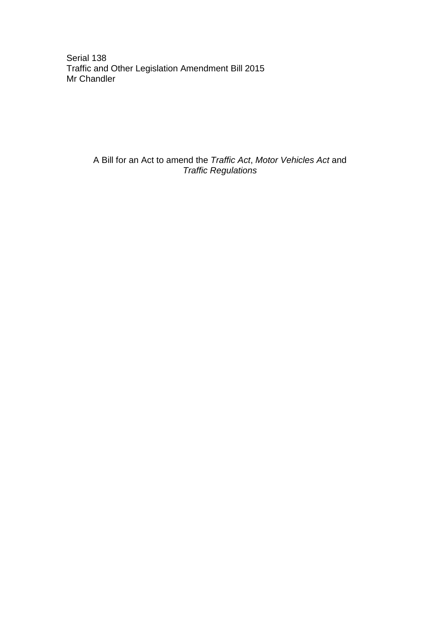Serial 138 Traffic and Other Legislation Amendment Bill 2015 Mr Chandler

> A Bill for an Act to amend the *Traffic Act*, *Motor Vehicles Act* and *Traffic Regulations*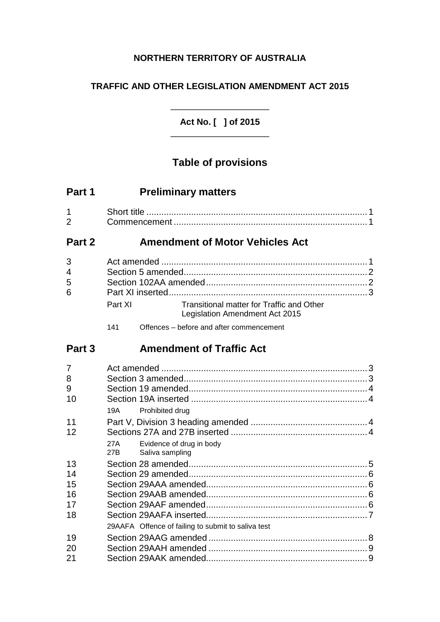## **NORTHERN TERRITORY OF AUSTRALIA**

## **TRAFFIC AND OTHER LEGISLATION AMENDMENT ACT 2015**

**Act No. [ ] of 2015** \_\_\_\_\_\_\_\_\_\_\_\_\_\_\_\_\_\_\_\_

\_\_\_\_\_\_\_\_\_\_\_\_\_\_\_\_\_\_\_\_

# **Table of provisions**

| Part 1                           | <b>Preliminary matters</b>                                                             |
|----------------------------------|----------------------------------------------------------------------------------------|
| 1<br>$\overline{2}$              |                                                                                        |
| Part 2                           | <b>Amendment of Motor Vehicles Act</b>                                                 |
| 3<br>4<br>5<br>6                 | Transitional matter for Traffic and Other<br>Part XI<br>Legislation Amendment Act 2015 |
|                                  | Offences – before and after commencement<br>141                                        |
| Part 3                           | <b>Amendment of Traffic Act</b>                                                        |
| 7<br>8<br>9<br>10                | 19A<br>Prohibited drug                                                                 |
| 11<br>12                         | 27A<br>Evidence of drug in body<br>27B<br>Saliva sampling                              |
| 13<br>14<br>15<br>16<br>17<br>18 |                                                                                        |
| 19<br>20<br>21                   | 29AAFA Offence of failing to submit to saliva test                                     |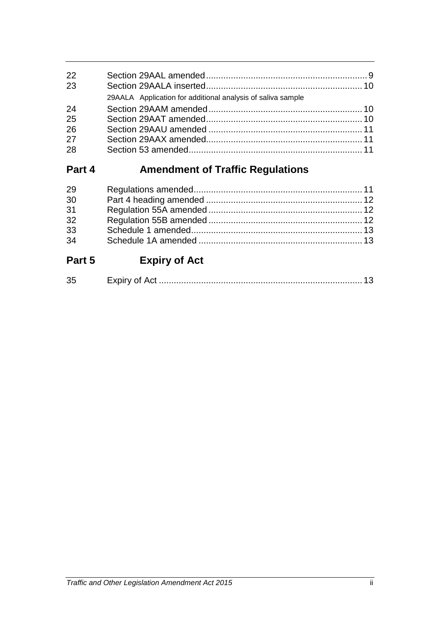| 22<br>23 |                                                             |  |
|----------|-------------------------------------------------------------|--|
|          | 29AALA Application for additional analysis of saliva sample |  |
| 24       |                                                             |  |
| 25       |                                                             |  |
| 26       |                                                             |  |
| 27       |                                                             |  |
| 28       |                                                             |  |

# **Part 4 Amendment of Traffic Regulations**

# **Part 5 Expiry of Act**

| $\sim$<br>Expir∨ of ∶ |  |
|-----------------------|--|
|-----------------------|--|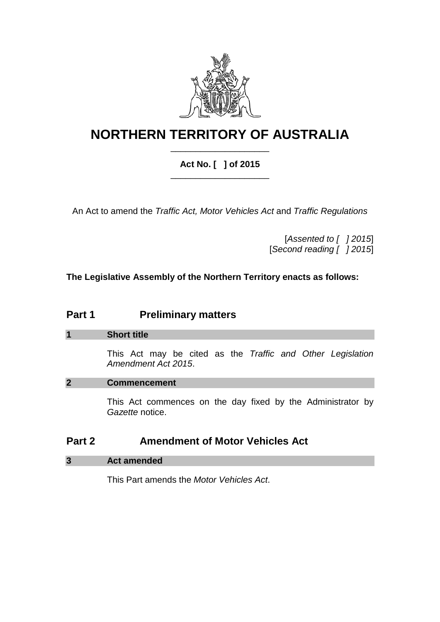

# **NORTHERN TERRITORY OF AUSTRALIA** \_\_\_\_\_\_\_\_\_\_\_\_\_\_\_\_\_\_\_\_

## **Act No. [ ] of 2015** \_\_\_\_\_\_\_\_\_\_\_\_\_\_\_\_\_\_\_\_

An Act to amend the *Traffic Act, Motor Vehicles Act* and *Traffic Regulations*

[*Assented to [ ] 2015*] [*Second reading [ ] 2015*]

**The Legislative Assembly of the Northern Territory enacts as follows:**

## **Part 1 Preliminary matters**

#### **1 Short title**

This Act may be cited as the *Traffic and Other Legislation Amendment Act 2015*.

#### **2 Commencement**

This Act commences on the day fixed by the Administrator by *Gazette* notice.

## **Part 2 Amendment of Motor Vehicles Act**

#### **3 Act amended**

This Part amends the *Motor Vehicles Act*.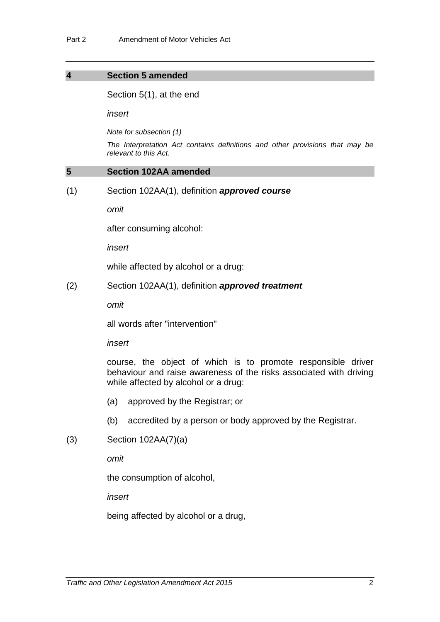#### **4 Section 5 amended**

Section 5(1), at the end

*insert*

*Note for subsection (1)*

*The Interpretation Act contains definitions and other provisions that may be relevant to this Act.*

#### **5 Section 102AA amended**

(1) Section 102AA(1), definition *approved course*

*omit*

after consuming alcohol:

*insert*

while affected by alcohol or a drug:

(2) Section 102AA(1), definition *approved treatment*

*omit*

all words after "intervention"

*insert*

course, the object of which is to promote responsible driver behaviour and raise awareness of the risks associated with driving while affected by alcohol or a drug:

- (a) approved by the Registrar; or
- (b) accredited by a person or body approved by the Registrar.
- (3) Section 102AA(7)(a)

*omit*

the consumption of alcohol,

*insert*

being affected by alcohol or a drug,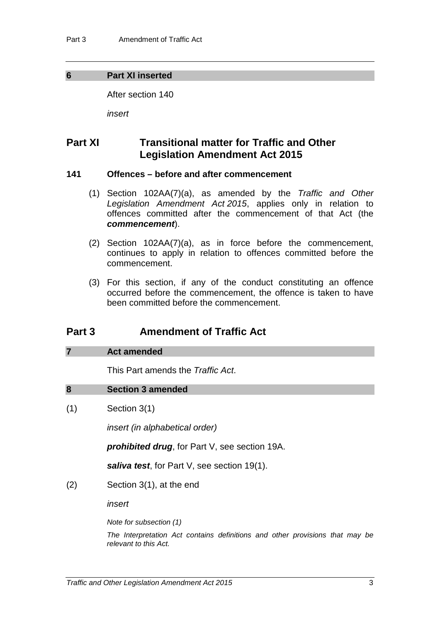#### **6 Part XI inserted**

After section 140

*insert*

## **Part XI Transitional matter for Traffic and Other Legislation Amendment Act 2015**

#### **141 Offences – before and after commencement**

- (1) Section 102AA(7)(a), as amended by the *Traffic and Other Legislation Amendment Act 2015*, applies only in relation to offences committed after the commencement of that Act (the *commencement*).
- (2) Section 102AA(7)(a), as in force before the commencement, continues to apply in relation to offences committed before the commencement.
- (3) For this section, if any of the conduct constituting an offence occurred before the commencement, the offence is taken to have been committed before the commencement.

#### **Part 3 Amendment of Traffic Act**

#### **7 Act amended**

This Part amends the *Traffic Act*.

#### **8 Section 3 amended**

(1) Section 3(1)

*insert (in alphabetical order)*

*prohibited drug*, for Part V, see section 19A.

*saliva test*, for Part V, see section 19(1).

(2) Section 3(1), at the end

*insert*

*Note for subsection (1)*

*The Interpretation Act contains definitions and other provisions that may be relevant to this Act.*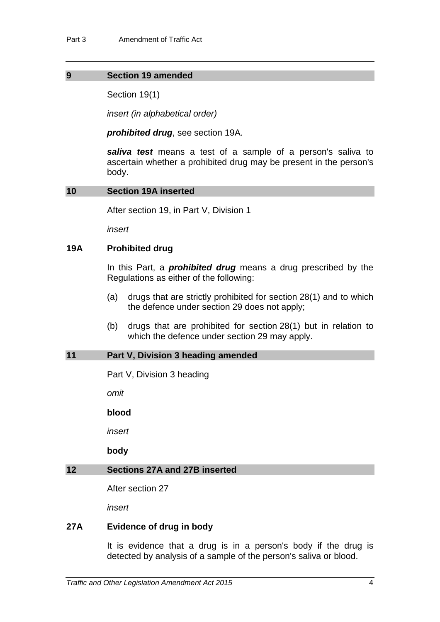#### **9 Section 19 amended**

Section 19(1)

*insert (in alphabetical order)*

*prohibited drug*, see section 19A.

*saliva test* means a test of a sample of a person's saliva to ascertain whether a prohibited drug may be present in the person's body.

#### **10 Section 19A inserted**

After section 19, in Part V, Division 1

*insert*

#### **19A Prohibited drug**

In this Part, a *prohibited drug* means a drug prescribed by the Regulations as either of the following:

- (a) drugs that are strictly prohibited for section 28(1) and to which the defence under section 29 does not apply;
- (b) drugs that are prohibited for section 28(1) but in relation to which the defence under section 29 may apply.

#### **11 Part V, Division 3 heading amended**

Part V, Division 3 heading

*omit*

**blood**

*insert*

**body**

#### **12 Sections 27A and 27B inserted**

After section 27

*insert*

#### **27A Evidence of drug in body**

It is evidence that a drug is in a person's body if the drug is detected by analysis of a sample of the person's saliva or blood.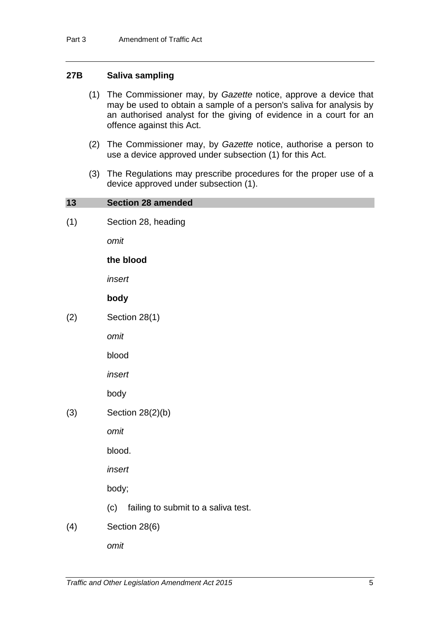#### **27B Saliva sampling**

- (1) The Commissioner may, by *Gazette* notice, approve a device that may be used to obtain a sample of a person's saliva for analysis by an authorised analyst for the giving of evidence in a court for an offence against this Act.
- (2) The Commissioner may, by *Gazette* notice, authorise a person to use a device approved under subsection (1) for this Act.
- (3) The Regulations may prescribe procedures for the proper use of a device approved under subsection (1).

# **13 Section 28 amended** (1) Section 28, heading *omit* **the blood** *insert* **body** (2) Section 28(1) *omit* blood *insert*  body (3) Section 28(2)(b) *omit* blood. *insert*  body; (c) failing to submit to a saliva test. (4) Section 28(6) *omit*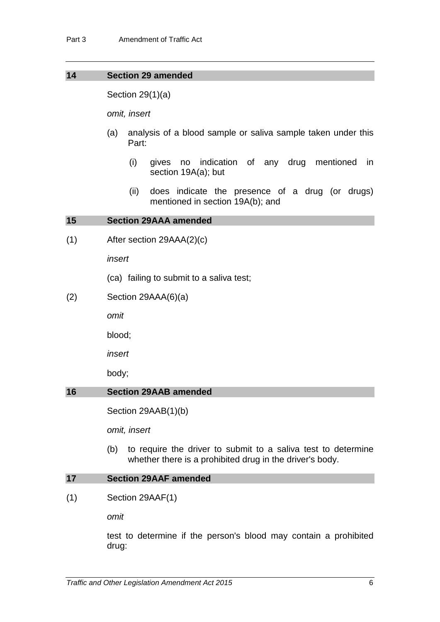#### **14 Section 29 amended**

Section 29(1)(a)

*omit, insert*

- (a) analysis of a blood sample or saliva sample taken under this Part:
	- (i) gives no indication of any drug mentioned in section 19A(a); but
	- (ii) does indicate the presence of a drug (or drugs) mentioned in section 19A(b); and

#### **15 Section 29AAA amended**

(1) After section 29AAA(2)(c)

*insert*

(ca) failing to submit to a saliva test;

(2) Section 29AAA(6)(a)

*omit*

blood;

*insert*

body;

#### **16 Section 29AAB amended**

Section 29AAB(1)(b)

*omit, insert*

(b) to require the driver to submit to a saliva test to determine whether there is a prohibited drug in the driver's body.

#### **17 Section 29AAF amended**

(1) Section 29AAF(1)

*omit*

test to determine if the person's blood may contain a prohibited drug: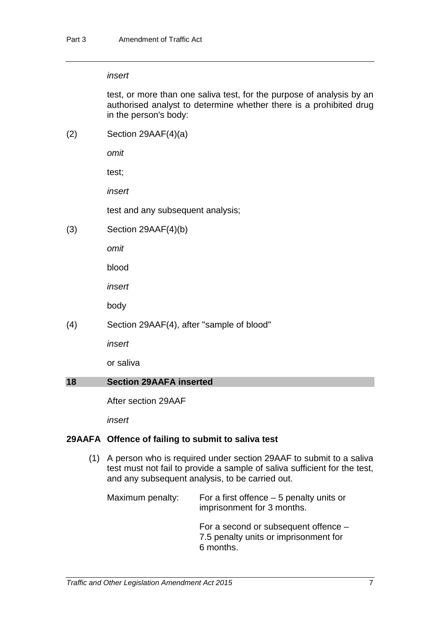#### *insert*

test, or more than one saliva test, for the purpose of analysis by an authorised analyst to determine whether there is a prohibited drug in the person's body:

(2) Section 29AAF(4)(a)

*omit*

test;

*insert*

test and any subsequent analysis;

(3) Section 29AAF(4)(b)

*omit*

blood

*insert*

body

(4) Section 29AAF(4), after "sample of blood"

*insert*

or saliva

#### **18 Section 29AAFA inserted**

After section 29AAF

*insert*

#### **29AAFA Offence of failing to submit to saliva test**

(1) A person who is required under section 29AAF to submit to a saliva test must not fail to provide a sample of saliva sufficient for the test, and any subsequent analysis, to be carried out.

| Maximum penalty: | For a first offence $-5$ penalty units or<br>imprisonment for 3 months.                      |
|------------------|----------------------------------------------------------------------------------------------|
|                  | For a second or subsequent offence $-$<br>7.5 penalty units or imprisonment for<br>6 months. |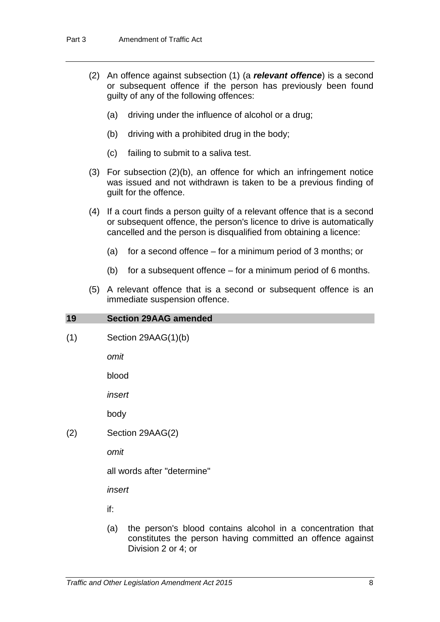- (2) An offence against subsection (1) (a *relevant offence*) is a second or subsequent offence if the person has previously been found guilty of any of the following offences:
	- (a) driving under the influence of alcohol or a drug;
	- (b) driving with a prohibited drug in the body;
	- (c) failing to submit to a saliva test.
- (3) For subsection (2)(b), an offence for which an infringement notice was issued and not withdrawn is taken to be a previous finding of guilt for the offence.
- (4) If a court finds a person guilty of a relevant offence that is a second or subsequent offence, the person's licence to drive is automatically cancelled and the person is disqualified from obtaining a licence:
	- (a) for a second offence for a minimum period of 3 months; or
	- (b) for a subsequent offence for a minimum period of 6 months.
- (5) A relevant offence that is a second or subsequent offence is an immediate suspension offence.

#### **19 Section 29AAG amended**

(1) Section 29AAG(1)(b)

*omit*

blood

*insert*

body

(2) Section 29AAG(2)

*omit*

all words after "determine"

*insert*

if:

(a) the person's blood contains alcohol in a concentration that constitutes the person having committed an offence against Division 2 or 4; or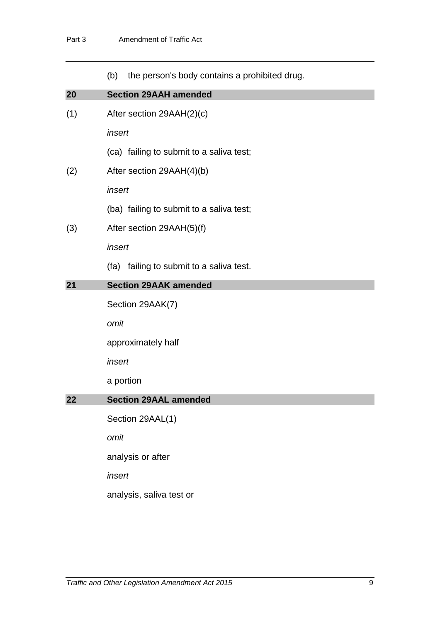|     | (b)       | the person's body contains a prohibited drug. |
|-----|-----------|-----------------------------------------------|
| 20  |           | <b>Section 29AAH amended</b>                  |
| (1) |           | After section 29AAH(2)(c)                     |
|     | insert    |                                               |
|     |           | (ca) failing to submit to a saliva test;      |
| (2) |           | After section 29AAH(4)(b)                     |
|     | insert    |                                               |
|     |           | (ba) failing to submit to a saliva test;      |
| (3) |           | After section 29AAH(5)(f)                     |
|     | insert    |                                               |
|     |           | (fa) failing to submit to a saliva test.      |
| 21  |           | <b>Section 29AAK amended</b>                  |
|     |           | Section 29AAK(7)                              |
|     | omit      |                                               |
|     |           | approximately half                            |
|     | insert    |                                               |
|     | a portion |                                               |
| 22  |           | <b>Section 29AAL amended</b>                  |
|     |           | Section 29AAL(1)                              |
|     | omit      |                                               |
|     |           | analysis or after                             |
|     | insert    |                                               |
|     |           | analysis, saliva test or                      |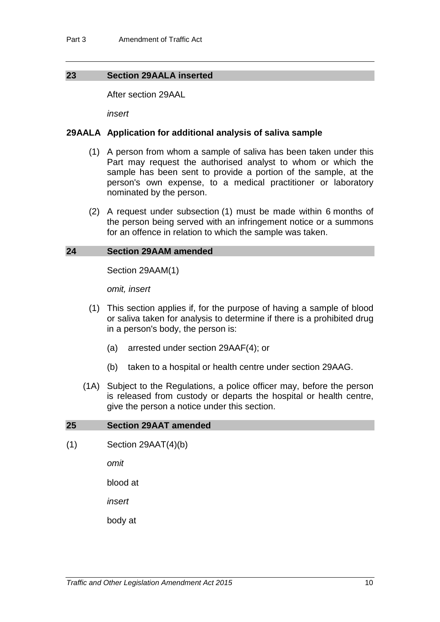#### **23 Section 29AALA inserted**

After section 29AAL

*insert*

#### **29AALA Application for additional analysis of saliva sample**

- (1) A person from whom a sample of saliva has been taken under this Part may request the authorised analyst to whom or which the sample has been sent to provide a portion of the sample, at the person's own expense, to a medical practitioner or laboratory nominated by the person.
- (2) A request under subsection (1) must be made within 6 months of the person being served with an infringement notice or a summons for an offence in relation to which the sample was taken.

#### **24 Section 29AAM amended**

Section 29AAM(1)

*omit, insert*

- (1) This section applies if, for the purpose of having a sample of blood or saliva taken for analysis to determine if there is a prohibited drug in a person's body, the person is:
	- (a) arrested under section 29AAF(4); or
	- (b) taken to a hospital or health centre under section 29AAG.
- (1A) Subject to the Regulations, a police officer may, before the person is released from custody or departs the hospital or health centre, give the person a notice under this section.

#### **25 Section 29AAT amended**

(1) Section 29AAT(4)(b)

*omit*

blood at

*insert*

body at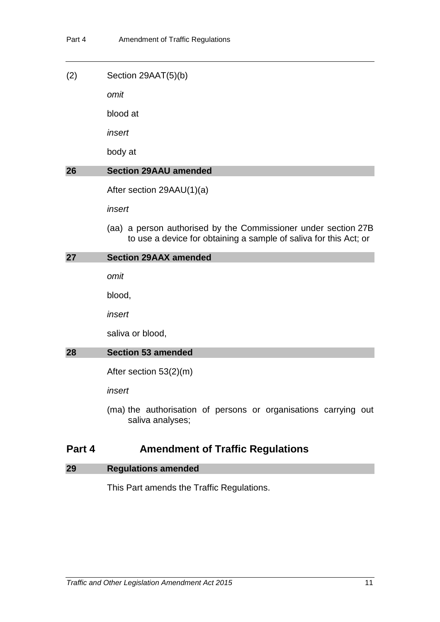(2) Section 29AAT(5)(b)

*omit*

blood at

*insert*

body at

#### **26 Section 29AAU amended**

After section 29AAU(1)(a)

*insert*

(aa) a person authorised by the Commissioner under section 27B to use a device for obtaining a sample of saliva for this Act; or

#### **27 Section 29AAX amended**

*omit*

blood,

*insert*

saliva or blood,

#### **28 Section 53 amended**

After section 53(2)(m)

*insert*

(ma) the authorisation of persons or organisations carrying out saliva analyses;

## **Part 4 Amendment of Traffic Regulations**

#### **29 Regulations amended**

This Part amends the Traffic Regulations.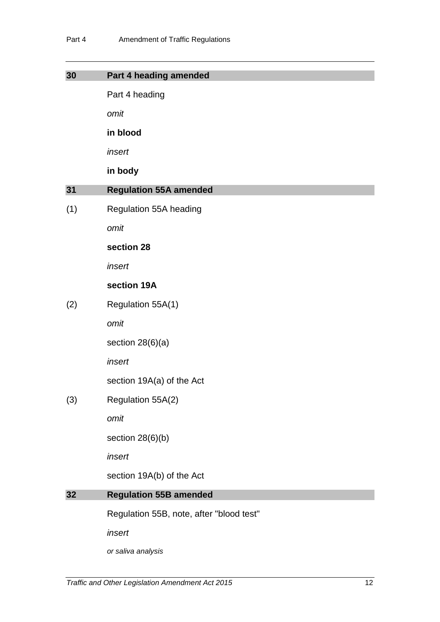| 30  | Part 4 heading amended                   |
|-----|------------------------------------------|
|     | Part 4 heading                           |
|     | omit                                     |
|     | in blood                                 |
|     | insert                                   |
|     | in body                                  |
| 31  | <b>Regulation 55A amended</b>            |
| (1) | Regulation 55A heading                   |
|     | omit                                     |
|     | section 28                               |
|     | insert                                   |
|     | section 19A                              |
| (2) | Regulation 55A(1)                        |
|     | omit                                     |
|     | section $28(6)(a)$                       |
|     | insert                                   |
|     | section 19A(a) of the Act                |
| (3) | Regulation 55A(2)                        |
|     | omit                                     |
|     | section $28(6)(b)$                       |
|     | insert                                   |
|     | section 19A(b) of the Act                |
| 32  | <b>Regulation 55B amended</b>            |
|     | Regulation 55B, note, after "blood test" |
|     | insert                                   |
|     | or saliva analysis                       |